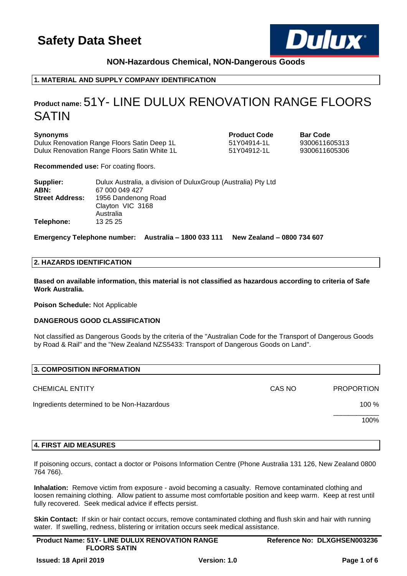

## **NON-Hazardous Chemical, NON-Dangerous Goods**

## **1. MATERIAL AND SUPPLY COMPANY IDENTIFICATION**

## **Product name:** 51Y- LINE DULUX RENOVATION RANGE FLOORS SATIN

### **Synonyms Product Code Bar Code**

Dulux Renovation Range Floors Satin Deep 1L 51Y04914-1L 9300611605313 Dulux Renovation Range Floors Satin White 1L 51Y04912-1L 9300611605306

**Recommended use:** For coating floors.

| Supplier:<br>ABN:      | Dulux Australia, a division of Dulux Group (Australia) Pty Ltd<br>67 000 049 427 |
|------------------------|----------------------------------------------------------------------------------|
| <b>Street Address:</b> | 1956 Dandenong Road<br>Clayton VIC 3168<br>Australia                             |
| Telephone:             | 13 25 25                                                                         |

**Emergency Telephone number: Australia – 1800 033 111 New Zealand – 0800 734 607**

## **2. HAZARDS IDENTIFICATION**

**Based on available information, this material is not classified as hazardous according to criteria of Safe Work Australia.**

**Poison Schedule:** Not Applicable

### **DANGEROUS GOOD CLASSIFICATION**

Not classified as Dangerous Goods by the criteria of the "Australian Code for the Transport of Dangerous Goods by Road & Rail" and the "New Zealand NZS5433: Transport of Dangerous Goods on Land".

| 3. COMPOSITION INFORMATION                 |        |                   |
|--------------------------------------------|--------|-------------------|
| <b>CHEMICAL ENTITY</b>                     | CAS NO | <b>PROPORTION</b> |
| Ingredients determined to be Non-Hazardous |        | $100 \%$          |
|                                            |        | 100%              |
|                                            |        |                   |

## **4. FIRST AID MEASURES**

If poisoning occurs, contact a doctor or Poisons Information Centre (Phone Australia 131 126, New Zealand 0800 764 766).

**Inhalation:** Remove victim from exposure - avoid becoming a casualty. Remove contaminated clothing and loosen remaining clothing. Allow patient to assume most comfortable position and keep warm. Keep at rest until fully recovered. Seek medical advice if effects persist.

**Skin Contact:** If skin or hair contact occurs, remove contaminated clothing and flush skin and hair with running water. If swelling, redness, blistering or irritation occurs seek medical assistance.

| <b>Product Name: 51Y- LINE DULUX RENOVATION RANGE</b> | Reference No: DLXGHSEN003236 |
|-------------------------------------------------------|------------------------------|
| <b>FLOORS SATIN</b>                                   |                              |
|                                                       |                              |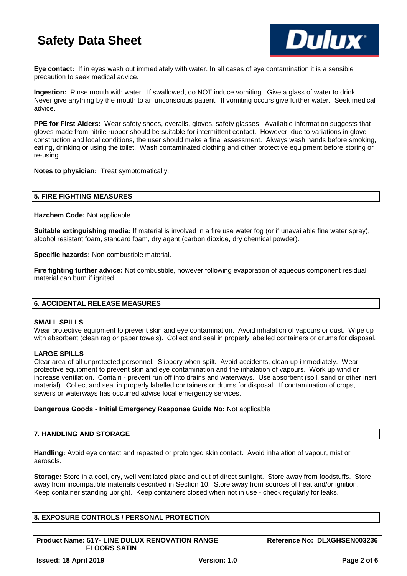

**Eye contact:** If in eyes wash out immediately with water. In all cases of eye contamination it is a sensible precaution to seek medical advice.

**Ingestion:** Rinse mouth with water. If swallowed, do NOT induce vomiting. Give a glass of water to drink. Never give anything by the mouth to an unconscious patient. If vomiting occurs give further water. Seek medical advice.

**PPE for First Aiders:** Wear safety shoes, overalls, gloves, safety glasses. Available information suggests that gloves made from nitrile rubber should be suitable for intermittent contact. However, due to variations in glove construction and local conditions, the user should make a final assessment. Always wash hands before smoking, eating, drinking or using the toilet. Wash contaminated clothing and other protective equipment before storing or re-using.

**Notes to physician:** Treat symptomatically.

### **5. FIRE FIGHTING MEASURES**

**Hazchem Code:** Not applicable.

**Suitable extinguishing media:** If material is involved in a fire use water fog (or if unavailable fine water spray), alcohol resistant foam, standard foam, dry agent (carbon dioxide, dry chemical powder).

**Specific hazards:** Non-combustible material.

**Fire fighting further advice:** Not combustible, however following evaporation of aqueous component residual material can burn if ignited.

## **6. ACCIDENTAL RELEASE MEASURES**

### **SMALL SPILLS**

Wear protective equipment to prevent skin and eye contamination. Avoid inhalation of vapours or dust. Wipe up with absorbent (clean rag or paper towels). Collect and seal in properly labelled containers or drums for disposal.

### **LARGE SPILLS**

Clear area of all unprotected personnel. Slippery when spilt. Avoid accidents, clean up immediately. Wear protective equipment to prevent skin and eye contamination and the inhalation of vapours. Work up wind or increase ventilation. Contain - prevent run off into drains and waterways. Use absorbent (soil, sand or other inert material). Collect and seal in properly labelled containers or drums for disposal. If contamination of crops, sewers or waterways has occurred advise local emergency services.

### **Dangerous Goods - Initial Emergency Response Guide No:** Not applicable

### **7. HANDLING AND STORAGE**

**Handling:** Avoid eye contact and repeated or prolonged skin contact. Avoid inhalation of vapour, mist or aerosols.

**Storage:** Store in a cool, dry, well-ventilated place and out of direct sunlight. Store away from foodstuffs. Store away from incompatible materials described in Section 10. Store away from sources of heat and/or ignition. Keep container standing upright. Keep containers closed when not in use - check regularly for leaks.

## **8. EXPOSURE CONTROLS / PERSONAL PROTECTION**

**Product Name: 51Y- LINE DULUX RENOVATION RANGE FLOORS SATIN**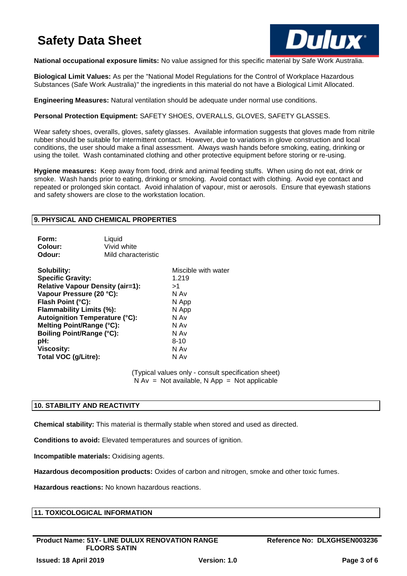

**National occupational exposure limits:** No value assigned for this specific material by Safe Work Australia.

**Biological Limit Values:** As per the "National Model Regulations for the Control of Workplace Hazardous Substances (Safe Work Australia)" the ingredients in this material do not have a Biological Limit Allocated.

**Engineering Measures:** Natural ventilation should be adequate under normal use conditions.

**Personal Protection Equipment:** SAFETY SHOES, OVERALLS, GLOVES, SAFETY GLASSES.

Wear safety shoes, overalls, gloves, safety glasses. Available information suggests that gloves made from nitrile rubber should be suitable for intermittent contact. However, due to variations in glove construction and local conditions, the user should make a final assessment. Always wash hands before smoking, eating, drinking or using the toilet. Wash contaminated clothing and other protective equipment before storing or re-using.

**Hygiene measures:** Keep away from food, drink and animal feeding stuffs. When using do not eat, drink or smoke. Wash hands prior to eating, drinking or smoking. Avoid contact with clothing. Avoid eye contact and repeated or prolonged skin contact. Avoid inhalation of vapour, mist or aerosols. Ensure that eyewash stations and safety showers are close to the workstation location.

## **9. PHYSICAL AND CHEMICAL PROPERTIES**

| Form:   | Liquid              |
|---------|---------------------|
| Colour: | Vivid white         |
| Odour:  | Mild characteristic |

| Solubility:                           | Miscible with water |
|---------------------------------------|---------------------|
| <b>Specific Gravity:</b>              | 1.219               |
| Relative Vapour Density (air=1):      | >1                  |
| Vapour Pressure (20 °C):              | N Av                |
| Flash Point (°C):                     | N App               |
| Flammability Limits (%):              | N App               |
| <b>Autoignition Temperature (°C):</b> | N Av                |
| Melting Point/Range (°C):             | N Av                |
| <b>Boiling Point/Range (°C):</b>      | N Av                |
| pH:                                   | $8 - 10$            |
| <b>Viscosity:</b>                     | N Av                |
| Total VOC (g/Litre):                  | N Av                |

(Typical values only - consult specification sheet)  $N Av = Not available, N App = Not applicable$ 

## **10. STABILITY AND REACTIVITY**

**Chemical stability:** This material is thermally stable when stored and used as directed.

**Conditions to avoid:** Elevated temperatures and sources of ignition.

**Incompatible materials:** Oxidising agents.

**Hazardous decomposition products:** Oxides of carbon and nitrogen, smoke and other toxic fumes.

**Hazardous reactions:** No known hazardous reactions.

|  | <b>11. TOXICOLOGICAL INFORMATION</b> |  |
|--|--------------------------------------|--|
|--|--------------------------------------|--|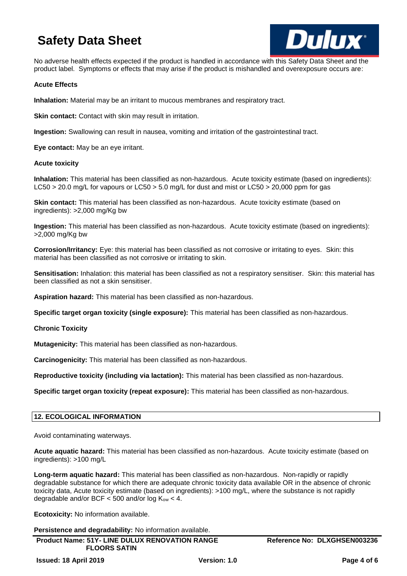

No adverse health effects expected if the product is handled in accordance with this Safety Data Sheet and the product label. Symptoms or effects that may arise if the product is mishandled and overexposure occurs are:

### **Acute Effects**

**Inhalation:** Material may be an irritant to mucous membranes and respiratory tract.

**Skin contact:** Contact with skin may result in irritation.

**Ingestion:** Swallowing can result in nausea, vomiting and irritation of the gastrointestinal tract.

**Eye contact:** May be an eye irritant.

### **Acute toxicity**

**Inhalation:** This material has been classified as non-hazardous. Acute toxicity estimate (based on ingredients): LC50 > 20.0 mg/L for vapours or LC50 > 5.0 mg/L for dust and mist or LC50 > 20,000 ppm for gas

**Skin contact:** This material has been classified as non-hazardous. Acute toxicity estimate (based on ingredients): >2,000 mg/Kg bw

**Ingestion:** This material has been classified as non-hazardous. Acute toxicity estimate (based on ingredients): >2,000 mg/Kg bw

**Corrosion/Irritancy:** Eye: this material has been classified as not corrosive or irritating to eyes. Skin: this material has been classified as not corrosive or irritating to skin.

**Sensitisation:** Inhalation: this material has been classified as not a respiratory sensitiser. Skin: this material has been classified as not a skin sensitiser.

**Aspiration hazard:** This material has been classified as non-hazardous.

**Specific target organ toxicity (single exposure):** This material has been classified as non-hazardous.

**Chronic Toxicity**

**Mutagenicity:** This material has been classified as non-hazardous.

**Carcinogenicity:** This material has been classified as non-hazardous.

**Reproductive toxicity (including via lactation):** This material has been classified as non-hazardous.

**Specific target organ toxicity (repeat exposure):** This material has been classified as non-hazardous.

## **12. ECOLOGICAL INFORMATION**

Avoid contaminating waterways.

**Acute aquatic hazard:** This material has been classified as non-hazardous. Acute toxicity estimate (based on ingredients): >100 mg/L

**Long-term aquatic hazard:** This material has been classified as non-hazardous. Non-rapidly or rapidly degradable substance for which there are adequate chronic toxicity data available OR in the absence of chronic toxicity data, Acute toxicity estimate (based on ingredients): >100 mg/L, where the substance is not rapidly degradable and/or BCF  $<$  500 and/or log  $K_{ow}$   $<$  4.

**Ecotoxicity:** No information available.

**Persistence and degradability:** No information available.

**Product Name: 51Y- LINE DULUX RENOVATION RANGE FLOORS SATIN**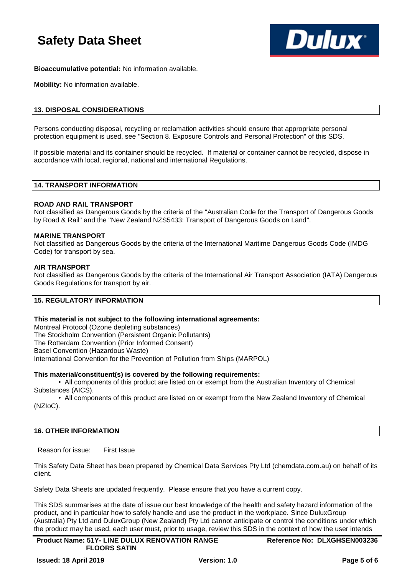

**Bioaccumulative potential:** No information available.

**Mobility:** No information available.

## **13. DISPOSAL CONSIDERATIONS**

Persons conducting disposal, recycling or reclamation activities should ensure that appropriate personal protection equipment is used, see "Section 8. Exposure Controls and Personal Protection" of this SDS.

If possible material and its container should be recycled. If material or container cannot be recycled, dispose in accordance with local, regional, national and international Regulations.

## **14. TRANSPORT INFORMATION**

### **ROAD AND RAIL TRANSPORT**

Not classified as Dangerous Goods by the criteria of the "Australian Code for the Transport of Dangerous Goods by Road & Rail" and the "New Zealand NZS5433: Transport of Dangerous Goods on Land".

### **MARINE TRANSPORT**

Not classified as Dangerous Goods by the criteria of the International Maritime Dangerous Goods Code (IMDG Code) for transport by sea.

### **AIR TRANSPORT**

Not classified as Dangerous Goods by the criteria of the International Air Transport Association (IATA) Dangerous Goods Regulations for transport by air.

### **15. REGULATORY INFORMATION**

### **This material is not subject to the following international agreements:**

Montreal Protocol (Ozone depleting substances) The Stockholm Convention (Persistent Organic Pollutants) The Rotterdam Convention (Prior Informed Consent) Basel Convention (Hazardous Waste) International Convention for the Prevention of Pollution from Ships (MARPOL)

### **This material/constituent(s) is covered by the following requirements:**

• All components of this product are listed on or exempt from the Australian Inventory of Chemical Substances (AICS).

• All components of this product are listed on or exempt from the New Zealand Inventory of Chemical (NZIoC).

## **16. OTHER INFORMATION**

Reason for issue: First Issue

This Safety Data Sheet has been prepared by Chemical Data Services Pty Ltd (chemdata.com.au) on behalf of its client.

Safety Data Sheets are updated frequently. Please ensure that you have a current copy.

This SDS summarises at the date of issue our best knowledge of the health and safety hazard information of the product, and in particular how to safely handle and use the product in the workplace. Since DuluxGroup (Australia) Pty Ltd and DuluxGroup (New Zealand) Pty Ltd cannot anticipate or control the conditions under which the product may be used, each user must, prior to usage, review this SDS in the context of how the user intends